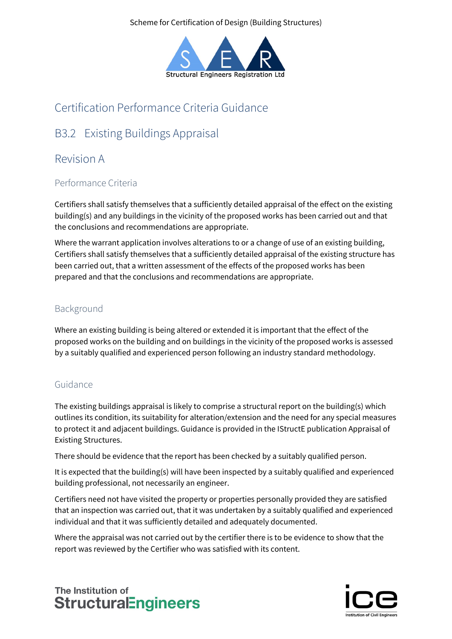Scheme for Certification of Design (Building Structures)



# Certification Performance Criteria Guidance

# B3.2 Existing Buildings Appraisal

## Revision A

### Performance Criteria

Certifiers shall satisfy themselves that a sufficiently detailed appraisal of the effect on the existing building(s) and any buildings in the vicinity of the proposed works has been carried out and that the conclusions and recommendations are appropriate.

Where the warrant application involves alterations to or a change of use of an existing building, Certifiers shall satisfy themselves that a sufficiently detailed appraisal of the existing structure has been carried out, that a written assessment of the effects of the proposed works has been prepared and that the conclusions and recommendations are appropriate.

### Background

Where an existing building is being altered or extended it is important that the effect of the proposed works on the building and on buildings in the vicinity of the proposed works is assessed by a suitably qualified and experienced person following an industry standard methodology.

### Guidance

The existing buildings appraisal is likely to comprise a structural report on the building(s) which outlines its condition, its suitability for alteration/extension and the need for any special measures to protect it and adjacent buildings. Guidance is provided in the IStructE publication Appraisal of Existing Structures.

There should be evidence that the report has been checked by a suitably qualified person.

It is expected that the building(s) will have been inspected by a suitably qualified and experienced building professional, not necessarily an engineer.

Certifiers need not have visited the property or properties personally provided they are satisfied that an inspection was carried out, that it was undertaken by a suitably qualified and experienced individual and that it was sufficiently detailed and adequately documented.

Where the appraisal was not carried out by the certifier there is to be evidence to show that the report was reviewed by the Certifier who was satisfied with its content.

## The Institution of **StructuralEngineers**